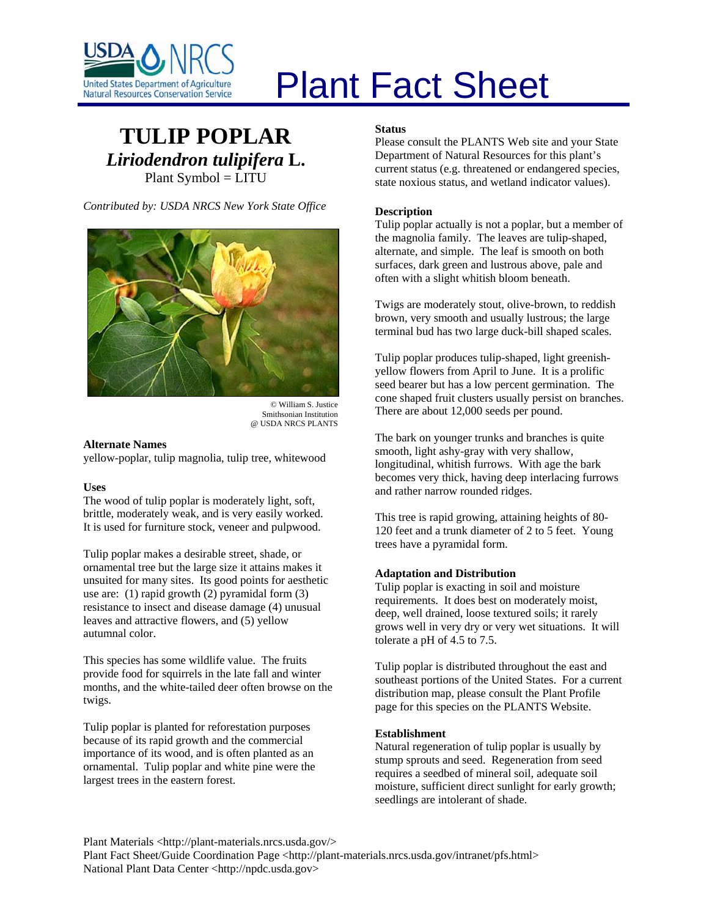

# Plant Fact Sheet

# **TULIP POPLAR** *Liriodendron tulipifera* **L.** Plant Symbol = LITU

*Contributed by: USDA NRCS New York State Office* 



Smithsonian Institution @ USDA NRCS PLANTS

# **Alternate Names**

yellow-poplar, tulip magnolia, tulip tree, whitewood

# **Uses**

The wood of tulip poplar is moderately light, soft, brittle, moderately weak, and is very easily worked. It is used for furniture stock, veneer and pulpwood.

Tulip poplar makes a desirable street, shade, or ornamental tree but the large size it attains makes it unsuited for many sites. Its good points for aesthetic use are: (1) rapid growth (2) pyramidal form (3) resistance to insect and disease damage (4) unusual leaves and attractive flowers, and (5) yellow autumnal color.

This species has some wildlife value. The fruits provide food for squirrels in the late fall and winter months, and the white-tailed deer often browse on the twigs.

Tulip poplar is planted for reforestation purposes because of its rapid growth and the commercial importance of its wood, and is often planted as an ornamental. Tulip poplar and white pine were the largest trees in the eastern forest.

# **Status**

Please consult the PLANTS Web site and your State Department of Natural Resources for this plant's current status (e.g. threatened or endangered species, state noxious status, and wetland indicator values).

# **Description**

Tulip poplar actually is not a poplar, but a member of the magnolia family. The leaves are tulip-shaped, alternate, and simple. The leaf is smooth on both surfaces, dark green and lustrous above, pale and often with a slight whitish bloom beneath.

Twigs are moderately stout, olive-brown, to reddish brown, very smooth and usually lustrous; the large terminal bud has two large duck-bill shaped scales.

Tulip poplar produces tulip-shaped, light greenishyellow flowers from April to June. It is a prolific seed bearer but has a low percent germination. The cone shaped fruit clusters usually persist on branches. There are about 12,000 seeds per pound. © William S. Justice

> The bark on younger trunks and branches is quite smooth, light ashy-gray with very shallow, longitudinal, whitish furrows. With age the bark becomes very thick, having deep interlacing furrows and rather narrow rounded ridges.

This tree is rapid growing, attaining heights of 80- 120 feet and a trunk diameter of 2 to 5 feet. Young trees have a pyramidal form.

# **Adaptation and Distribution**

Tulip poplar is exacting in soil and moisture requirements. It does best on moderately moist, deep, well drained, loose textured soils; it rarely grows well in very dry or very wet situations. It will tolerate a pH of 4.5 to 7.5.

Tulip poplar is distributed throughout the east and southeast portions of the United States. For a current distribution map, please consult the Plant Profile page for this species on the PLANTS Website.

# **Establishment**

Natural regeneration of tulip poplar is usually by stump sprouts and seed. Regeneration from seed requires a seedbed of mineral soil, adequate soil moisture, sufficient direct sunlight for early growth; seedlings are intolerant of shade.

Plant Materials <http://plant-materials.nrcs.usda.gov/>

Plant Fact Sheet/Guide Coordination Page <http://plant-materials.nrcs.usda.gov/intranet/pfs.html> National Plant Data Center <http://npdc.usda.gov>